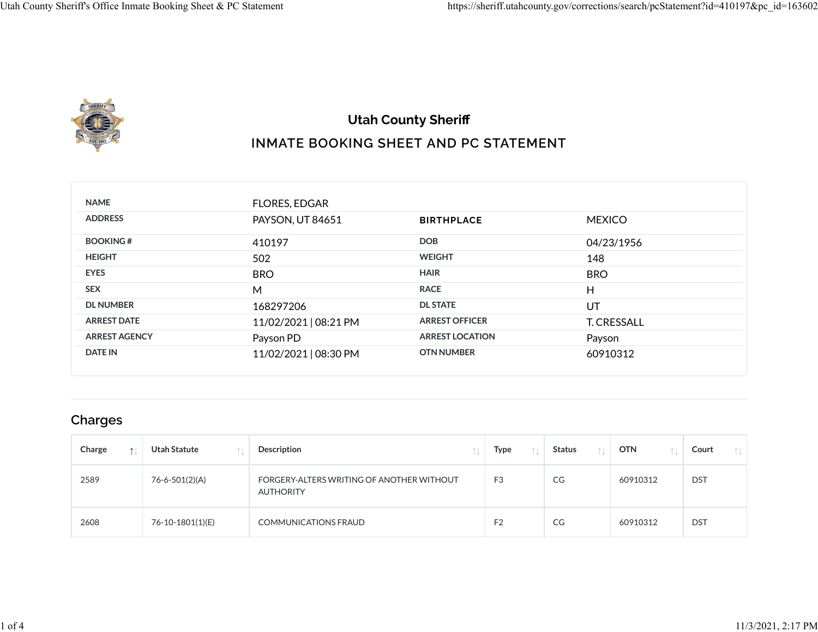

## **Utah County Sheri� INMATE BOOKING SHEET AND PC STATEMENT**

| <b>NAME</b>          | <b>FLORES, EDGAR</b>  |                        |                    |
|----------------------|-----------------------|------------------------|--------------------|
| <b>ADDRESS</b>       | PAYSON, UT 84651      | <b>BIRTHPLACE</b>      | <b>MEXICO</b>      |
| <b>BOOKING#</b>      | 410197                | <b>DOB</b>             | 04/23/1956         |
| <b>HEIGHT</b>        | 502                   | <b>WEIGHT</b>          | 148                |
| <b>EYES</b>          | <b>BRO</b>            | <b>HAIR</b>            | <b>BRO</b>         |
| <b>SEX</b>           | M                     | <b>RACE</b>            | Н                  |
| <b>DL NUMBER</b>     | 168297206             | <b>DL STATE</b>        | UT                 |
| <b>ARREST DATE</b>   | 11/02/2021   08:21 PM | <b>ARREST OFFICER</b>  | <b>T. CRESSALL</b> |
| <b>ARREST AGENCY</b> | Payson PD             | <b>ARREST LOCATION</b> | Payson             |
| <b>DATE IN</b>       | 11/02/2021   08:30 PM | <b>OTN NUMBER</b>      | 60910312           |

## **Charges**

| Charge | <b>Utah Statute</b> | Description                                                   | <b>Type</b>    | <b>Status</b> | <b>OTN</b> | Court      |
|--------|---------------------|---------------------------------------------------------------|----------------|---------------|------------|------------|
| 2589   | 76-6-501(2)(A)      | FORGERY-ALTERS WRITING OF ANOTHER WITHOUT<br><b>AUTHORITY</b> | F <sub>3</sub> | CG            | 60910312   | <b>DST</b> |
| 2608   | 76-10-1801(1)(E)    | COMMUNICATIONS FRAUD                                          | F <sub>2</sub> | CG            | 60910312   | <b>DST</b> |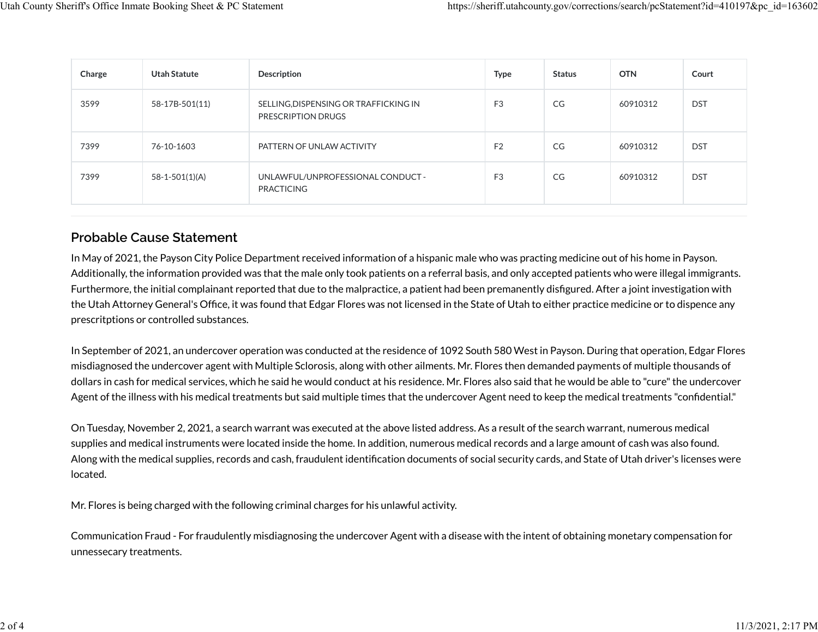| Charge | <b>Utah Statute</b>  | Description                                                 | <b>Type</b>    | <b>Status</b> | <b>OTN</b> | Court      |
|--------|----------------------|-------------------------------------------------------------|----------------|---------------|------------|------------|
| 3599   | 58-17B-501(11)       | SELLING, DISPENSING OR TRAFFICKING IN<br>PRESCRIPTION DRUGS | F <sub>3</sub> | CG            | 60910312   | <b>DST</b> |
| 7399   | 76-10-1603           | PATTERN OF UNLAW ACTIVITY                                   | F <sub>2</sub> | CG            | 60910312   | <b>DST</b> |
| 7399   | $58 - 1 - 501(1)(A)$ | UNLAWFUL/UNPROFESSIONAL CONDUCT -<br><b>PRACTICING</b>      | F <sub>3</sub> | CG            | 60910312   | <b>DST</b> |

## **Probable Cause Statement**

In May of 2021, the Payson City Police Department received information of a hispanic male who was practing medicine out of his home in Payson. Additionally, the information provided was that the male only took patients on a referral basis, and only accepted patients who were illegal immigrants. Furthermore, the initial complainant reported that due to the malpractice, a patient had been premanently disfigured. After a joint investigation with the Utah Attorney General's Office, it was found that Edgar Flores was not licensed in the State of Utah to either practice medicine or to dispence any prescritptions or controlled substances.

In September of 2021, an undercover operation was conducted at the residence of 1092 South 580 West in Payson. During that operation, Edgar Flores misdiagnosed the undercover agent with Multiple Sclorosis, along with other ailments. Mr. Flores then demanded payments of multiple thousands of dollars in cash for medical services, which he said he would conduct at his residence. Mr. Flores also said that he would be able to "cure" the undercover Agent of the illness with his medical treatments but said multiple times that the undercover Agent need to keep the medical treatments "confidential."

On Tuesday, November 2, 2021, a search warrant was executed at the above listed address. As a result of the search warrant, numerous medical supplies and medical instruments were located inside the home. In addition, numerous medical records and a large amount of cash was also found. Along with the medical supplies, records and cash, fraudulent identification documents of social security cards, and State of Utah driver's licenses were located.

Mr. Flores is being charged with the following criminal charges for his unlawful activity.

Communication Fraud - For fraudulently misdiagnosing the undercover Agent with a disease with the intent of obtaining monetary compensation for unnessecary treatments.